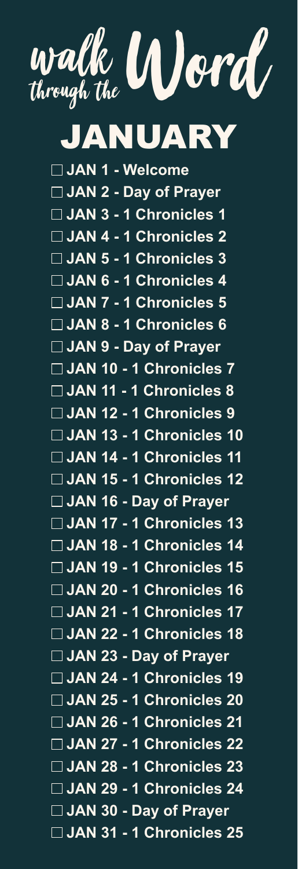

JANUARY

 **JAN 1 - Welcome JAN 2 - Day of Prayer JAN 3 - 1 Chronicles 1 JAN 4 - 1 Chronicles 2 JAN 5 - 1 Chronicles 3 JAN 6 - 1 Chronicles 4 JAN 7 - 1 Chronicles 5 JAN 8 - 1 Chronicles 6 JAN 9 - Day of Prayer JAN 10 - 1 Chronicles 7 JAN 11 - 1 Chronicles 8 JAN 12 - 1 Chronicles 9 JAN 13 - 1 Chronicles 10 JAN 14 - 1 Chronicles 11 JAN 15 - 1 Chronicles 12 JAN 16 - Day of Prayer JAN 17 - 1 Chronicles 13 JAN 18 - 1 Chronicles 14 JAN 19 - 1 Chronicles 15 JAN 20 - 1 Chronicles 16 JAN 21 - 1 Chronicles 17 JAN 22 - 1 Chronicles 18 JAN 23 - Day of Prayer JAN 24 - 1 Chronicles 19 JAN 25 - 1 Chronicles 20 JAN 26 - 1 Chronicles 21 JAN 27 - 1 Chronicles 22 JAN 28 - 1 Chronicles 23 JAN 29 - 1 Chronicles 24 JAN 30 - Day of Prayer JAN 31 - 1 Chronicles 25**